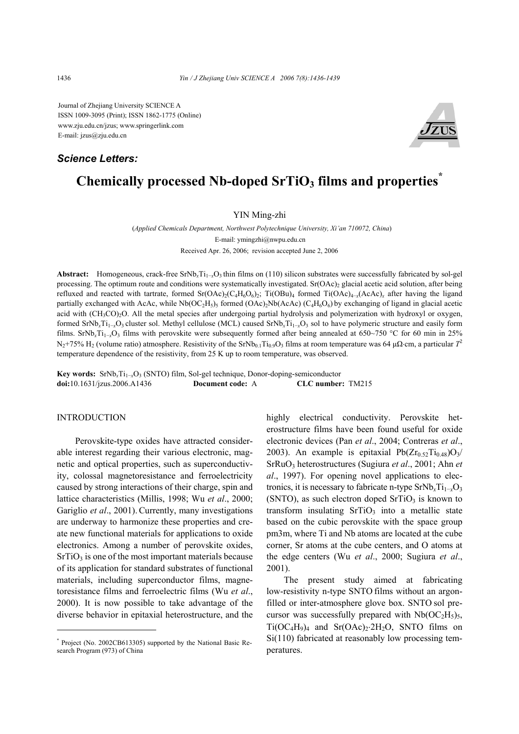Journal of Zhejiang University SCIENCE A ISSN 1009-3095 (Print); ISSN 1862-1775 (Online) www.zju.edu.cn/jzus; www.springerlink.com E-mail: jzus@zju.edu.cn

## *Science Letters:*



# **Chemically processed Nb-doped SrTiO<sub>3</sub> films and properties<sup>†</sup>**

YIN Ming-zhi

(*Applied Chemicals Department, Northwest Polytechnique University, Xi'an 710072, China*) E-mail: ymingzhi@nwpu.edu.cn Received Apr. 26, 2006; revision accepted June 2, 2006

Abstract: Homogeneous, crack-free SrNb<sub>x</sub>Ti<sub>1→</sub>O<sub>3</sub> thin films on (110) silicon substrates were successfully fabricated by sol-gel processing. The optimum route and conditions were systematically investigated.  $Sr(OAc)$  glacial acetic acid solution, after being refluxed and reacted with tartrate, formed  $Sr(OAc)_{2}(C_{4}H_{6}O_{6})$ ; Ti(OBu)<sub>4</sub> formed Ti(OAc)<sub>4</sub><sub>-*x*</sub>(AcAc)<sub>*x*</sub> after having the ligand partially exchanged with AcAc, while  $Nb(OC_2H_5)$ <sub>5</sub> formed (OAc)<sub>2</sub>Nb(AcAc) (C<sub>4</sub>H<sub>6</sub>O<sub>6</sub>) by exchanging of ligand in glacial acetic acid with (CH<sub>3</sub>CO)<sub>2</sub>O. All the metal species after undergoing partial hydrolysis and polymerization with hydroxyl or oxygen, formed SrNb*x*Ti1−*x*O3 cluster sol. Methyl cellulose (MCL) caused SrNb*x*Ti1−*x*O3 sol to have polymeric structure and easily form films. SrNb*x*Ti1−*x*O3 films with perovskite were subsequently formed after being annealed at 650~750 °C for 60 min in 25%  $N_2$ +75% H<sub>2</sub> (volume ratio) atmosphere. Resistivity of the SrNb<sub>0.1</sub>Ti<sub>0.9</sub>O<sub>3</sub> films at room temperature was 64 μΩ⋅cm, a particular  $T^2$ temperature dependence of the resistivity, from 25 K up to room temperature, was observed.

Key words: SrNb<sub>*x*</sub>Ti<sub>1−*x*</sub>O<sub>3</sub> (SNTO) film, Sol-gel technique, Donor-doping-semiconductor **doi:**10.1631/jzus.2006.A1436 **Document code:** A **CLC number:** TM215

#### INTRODUCTION

Perovskite-type oxides have attracted considerable interest regarding their various electronic, magnetic and optical properties, such as superconductivity, colossal magnetoresistance and ferroelectricity caused by strong interactions of their charge, spin and lattice characteristics (Millis, 1998; Wu *et al*., 2000; Gariglio *et al.*, 2001). Currently, many investigations are underway to harmonize these properties and create new functional materials for applications to oxide electronics. Among a number of perovskite oxides,  $SrTiO<sub>3</sub>$  is one of the most important materials because of its application for standard substrates of functional materials, including superconductor films, magnetoresistance films and ferroelectric films (Wu *et al*., 2000). It is now possible to take advantage of the diverse behavior in epitaxial heterostructure, and the

highly electrical conductivity. Perovskite heterostructure films have been found useful for oxide electronic devices (Pan *et al*., 2004; Contreras *et al*., 2003). An example is epitaxial  $Pb(Zr_{0.52}Ti_{0.48})O<sub>3</sub>/$ SrRuO3 heterostructures (Sugiura *et al*., 2001; Ahn *et al*., 1997). For opening novel applications to electronics, it is necessary to fabricate n-type  $SrNb<sub>x</sub>Ti<sub>1-x</sub>O<sub>3</sub>$ (SNTO), as such electron doped  $SrTiO<sub>3</sub>$  is known to transform insulating  $SrTiO<sub>3</sub>$  into a metallic state based on the cubic perovskite with the space group pm3m, where Ti and Nb atoms are located at the cube corner, Sr atoms at the cube centers, and O atoms at the edge centers (Wu *et al*., 2000; Sugiura *et al*., 2001).

The present study aimed at fabricating low-resistivity n-type SNTO films without an argonfilled or inter-atmosphere glove box. SNTO sol precursor was successfully prepared with  $Nb(OC<sub>2</sub>H<sub>5</sub>)<sub>5</sub>$ ,  $Ti(OC<sub>4</sub>H<sub>9</sub>)<sub>4</sub>$  and  $Sr(OAc)<sub>2</sub>·2H<sub>2</sub>O$ , SNTO films on Si(110) fabricated at reasonably low processing temperatures.

<sup>\*</sup> Project (No. 2002CB613305) supported by the National Basic Research Program (973) of China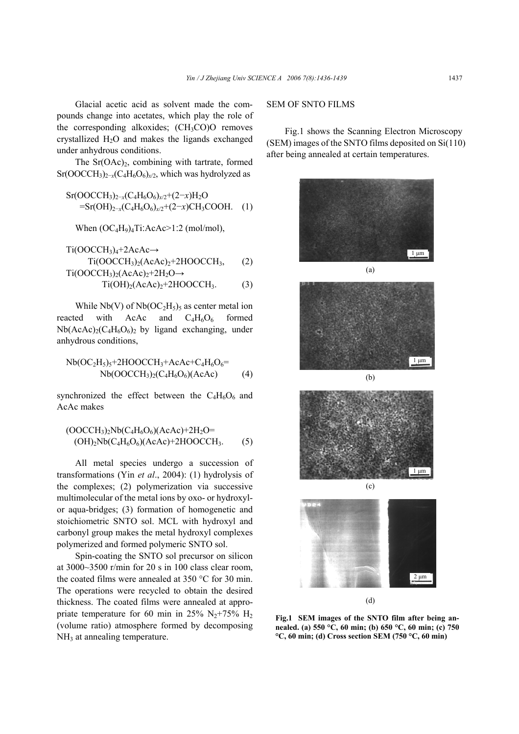Glacial acetic acid as solvent made the compounds change into acetates, which play the role of the corresponding alkoxides;  $(CH<sub>3</sub>CO)O$  removes crystallized  $H_2O$  and makes the ligands exchanged under anhydrous conditions.

The  $Sr(OAc)<sub>2</sub>$ , combining with tartrate, formed Sr(OOCCH<sub>3</sub>)<sub>2−*x*</sub>(C<sub>4</sub>H<sub>6</sub>O<sub>6</sub>)<sub>*x*/2</sub>, which was hydrolyzed as

$$
Sr(OOCCH3)2-x(C4H6O6)x/2+(2-x)H2O=Sr(OH)2-x(C4H6O6)x/2+(2-x)CH3COOH.
$$
 (1)

When  $(OC_4H_9)_4Ti: AcAc>1:2 \text{ (mol/mol)}$ ,

$$
Ti(OOCCH3)4+2AcAc \rightarrow Ti(OOCCH3)2(AcAc)2+2HOOCCH3, (2)
$$
  

$$
Ti(OOCCH3)2(AcAc)2+2H2O \rightarrow
$$

 $Ti(OH)<sub>2</sub>(AcAc)<sub>2</sub>+2HOOCCH<sub>3</sub>.$  (3)

While Nb(V) of  $Nb(OC<sub>2</sub>H<sub>5</sub>)<sub>5</sub>$  as center metal ion reacted with AcAc and  $C_4H_6O_6$  formed  $Nb(AcAc)_{2}(C_{4}H_{6}O_{6})_{2}$  by ligand exchanging, under anhydrous conditions,

Nb(
$$
OC_2H_5
$$
)<sub>5</sub>+2HOOCCH<sub>3</sub>+AcAc+C<sub>4</sub>H<sub>6</sub>O<sub>6</sub>=  
Nb( $OCCH_3$ )<sub>2</sub>(C<sub>4</sub>H<sub>6</sub>O<sub>6</sub>)(AcAc) (4)

synchronized the effect between the  $C_4H_6O_6$  and AcAc makes

$$
(OOCCH3)2Nb(C4H6O6)(AcAc)+2H2O= (OH)2Nb(C4H6O6)(AcAc)+2HOOCCH3.
$$
 (5)

All metal species undergo a succession of transformations (Yin *et al*., 2004): (1) hydrolysis of the complexes; (2) polymerization via successive multimolecular of the metal ions by oxo- or hydroxylor aqua-bridges; (3) formation of homogenetic and stoichiometric SNTO sol. MCL with hydroxyl and carbonyl group makes the metal hydroxyl complexes polymerized and formed polymeric SNTO sol.

Spin-coating the SNTO sol precursor on silicon at 3000~3500 r/min for 20 s in 100 class clear room, the coated films were annealed at 350 °C for 30 min. The operations were recycled to obtain the desired thickness. The coated films were annealed at appropriate temperature for 60 min in 25%  $N_2+75%$  H<sub>2</sub> (volume ratio) atmosphere formed by decomposing NH<sub>3</sub> at annealing temperature.

#### SEM OF SNTO FILMS

Fig.1 shows the Scanning Electron Microscopy (SEM) images of the SNTO films deposited on Si(110) after being annealed at certain temperatures.



**Fig.1 SEM images of the SNTO film after being annealed. (a) 550 °C, 60 min; (b) 650 °C, 60 min; (c) 750 °C, 60 min; (d) Cross section SEM (750 °C, 60 min)**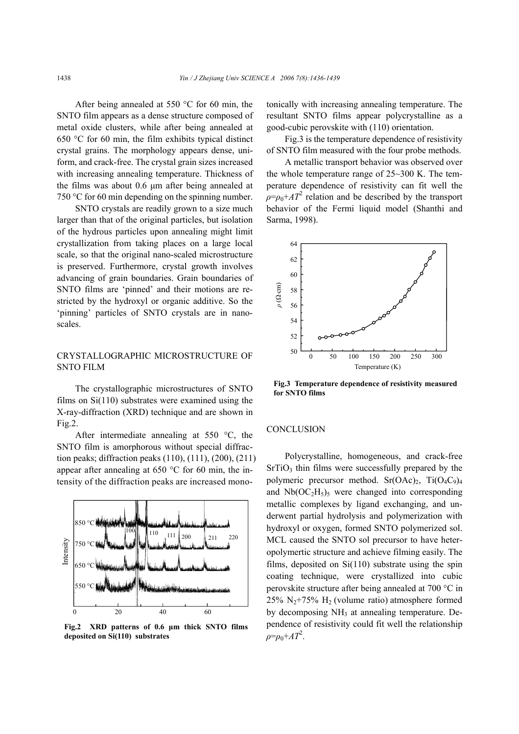After being annealed at 550 °C for 60 min, the SNTO film appears as a dense structure composed of metal oxide clusters, while after being annealed at 650 °C for 60 min, the film exhibits typical distinct crystal grains. The morphology appears dense, uniform, and crack-free. The crystal grain sizes increased with increasing annealing temperature. Thickness of the films was about 0.6 µm after being annealed at 750 °C for 60 min depending on the spinning number.

SNTO crystals are readily grown to a size much larger than that of the original particles, but isolation of the hydrous particles upon annealing might limit crystallization from taking places on a large local scale, so that the original nano-scaled microstructure is preserved. Furthermore, crystal growth involves advancing of grain boundaries. Grain boundaries of SNTO films are 'pinned' and their motions are restricted by the hydroxyl or organic additive. So the 'pinning' particles of SNTO crystals are in nanoscales.

### CRYSTALLOGRAPHIC MICROSTRUCTURE OF SNTO FILM

The crystallographic microstructures of SNTO films on Si(110) substrates were examined using the X-ray-diffraction (XRD) technique and are shown in Fig.2.

After intermediate annealing at 550 °C, the SNTO film is amorphorous without special diffraction peaks; diffraction peaks (110), (111), (200), (211) appear after annealing at 650 °C for 60 min, the intensity of the diffraction peaks are increased mono-



**Fig.2 XRD patterns of 0.6 µm thick SNTO films**

tonically with increasing annealing temperature. The resultant SNTO films appear polycrystalline as a good-cubic perovskite with (110) orientation.

Fig.3 is the temperature dependence of resistivity of SNTO film measured with the four probe methods.

A metallic transport behavior was observed over the whole temperature range of 25~300 K. The temperature dependence of resistivity can fit well the  $\rho = \rho_0 + A T^2$  relation and be described by the transport behavior of the Fermi liquid model (Shanthi and Sarma, 1998).



**Fig.3 Temperature dependence of resistivity measured for SNTO films** 

#### **CONCLUSION**

Polycrystalline, homogeneous, and crack-free  $SrTiO<sub>3</sub>$  thin films were successfully prepared by the polymeric precursor method.  $Sr(OAc)_2$ ,  $Ti(O_4C_9)_4$ and  $Nb(OC<sub>2</sub>H<sub>5</sub>)<sub>5</sub>$  were changed into corresponding metallic complexes by ligand exchanging, and underwent partial hydrolysis and polymerization with hydroxyl or oxygen, formed SNTO polymerized sol. MCL caused the SNTO sol precursor to have heteropolymertic structure and achieve filming easily. The films, deposited on  $Si(110)$  substrate using the spin coating technique, were crystallized into cubic perovskite structure after being annealed at 700 °C in 25%  $N_2+75%$  H<sub>2</sub> (volume ratio) atmosphere formed by decomposing  $NH_3$  at annealing temperature. Dependence of resistivity could fit well the relationship  $\rho = \rho_0 + AT^2$ .